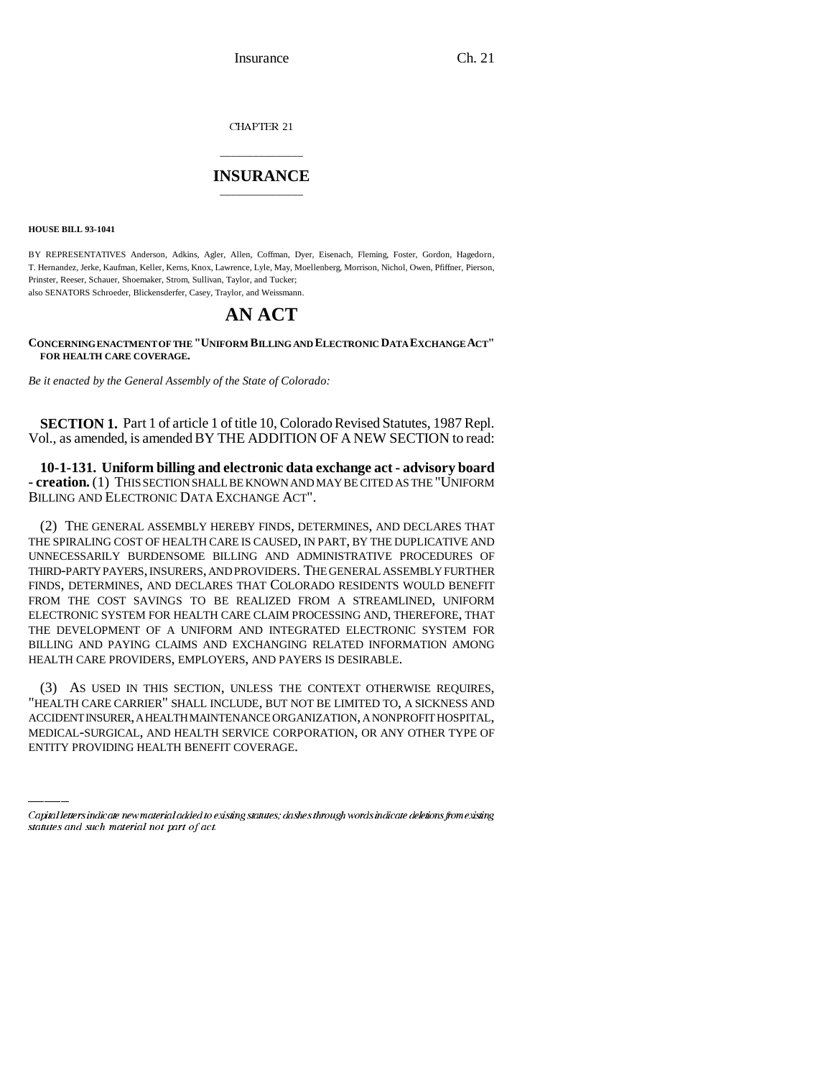Insurance Ch. 21

CHAPTER 21

## \_\_\_\_\_\_\_\_\_\_\_\_\_\_\_ **INSURANCE** \_\_\_\_\_\_\_\_\_\_\_\_\_\_\_

**HOUSE BILL 93-1041**

BY REPRESENTATIVES Anderson, Adkins, Agler, Allen, Coffman, Dyer, Eisenach, Fleming, Foster, Gordon, Hagedorn, T. Hernandez, Jerke, Kaufman, Keller, Kerns, Knox, Lawrence, Lyle, May, Moellenberg, Morrison, Nichol, Owen, Pfiffner, Pierson, Prinster, Reeser, Schauer, Shoemaker, Strom, Sullivan, Taylor, and Tucker; also SENATORS Schroeder, Blickensderfer, Casey, Traylor, and Weissmann.

## **AN ACT**

**CONCERNING ENACTMENT OF THE "UNIFORM BILLING AND ELECTRONIC DATA EXCHANGE ACT" FOR HEALTH CARE COVERAGE.**

*Be it enacted by the General Assembly of the State of Colorado:*

**SECTION 1.** Part 1 of article 1 of title 10, Colorado Revised Statutes, 1987 Repl. Vol., as amended, is amended BY THE ADDITION OF A NEW SECTION to read:

**10-1-131. Uniform billing and electronic data exchange act - advisory board - creation.** (1) THIS SECTION SHALL BE KNOWN AND MAY BE CITED AS THE "UNIFORM BILLING AND ELECTRONIC DATA EXCHANGE ACT".

(2) THE GENERAL ASSEMBLY HEREBY FINDS, DETERMINES, AND DECLARES THAT THE SPIRALING COST OF HEALTH CARE IS CAUSED, IN PART, BY THE DUPLICATIVE AND UNNECESSARILY BURDENSOME BILLING AND ADMINISTRATIVE PROCEDURES OF THIRD-PARTY PAYERS, INSURERS, AND PROVIDERS. THE GENERAL ASSEMBLY FURTHER FINDS, DETERMINES, AND DECLARES THAT COLORADO RESIDENTS WOULD BENEFIT FROM THE COST SAVINGS TO BE REALIZED FROM A STREAMLINED, UNIFORM ELECTRONIC SYSTEM FOR HEALTH CARE CLAIM PROCESSING AND, THEREFORE, THAT THE DEVELOPMENT OF A UNIFORM AND INTEGRATED ELECTRONIC SYSTEM FOR BILLING AND PAYING CLAIMS AND EXCHANGING RELATED INFORMATION AMONG HEALTH CARE PROVIDERS, EMPLOYERS, AND PAYERS IS DESIRABLE.

"HEALTH CARE CARRIER" SHALL INCLUDE, BUT NOT BE LIMITED TO, A SICKNESS AND (3) AS USED IN THIS SECTION, UNLESS THE CONTEXT OTHERWISE REQUIRES, ACCIDENT INSURER, A HEALTH MAINTENANCE ORGANIZATION, A NONPROFIT HOSPITAL, MEDICAL-SURGICAL, AND HEALTH SERVICE CORPORATION, OR ANY OTHER TYPE OF ENTITY PROVIDING HEALTH BENEFIT COVERAGE.

Capital letters indicate new material added to existing statutes; dashes through words indicate deletions from existing statutes and such material not part of act.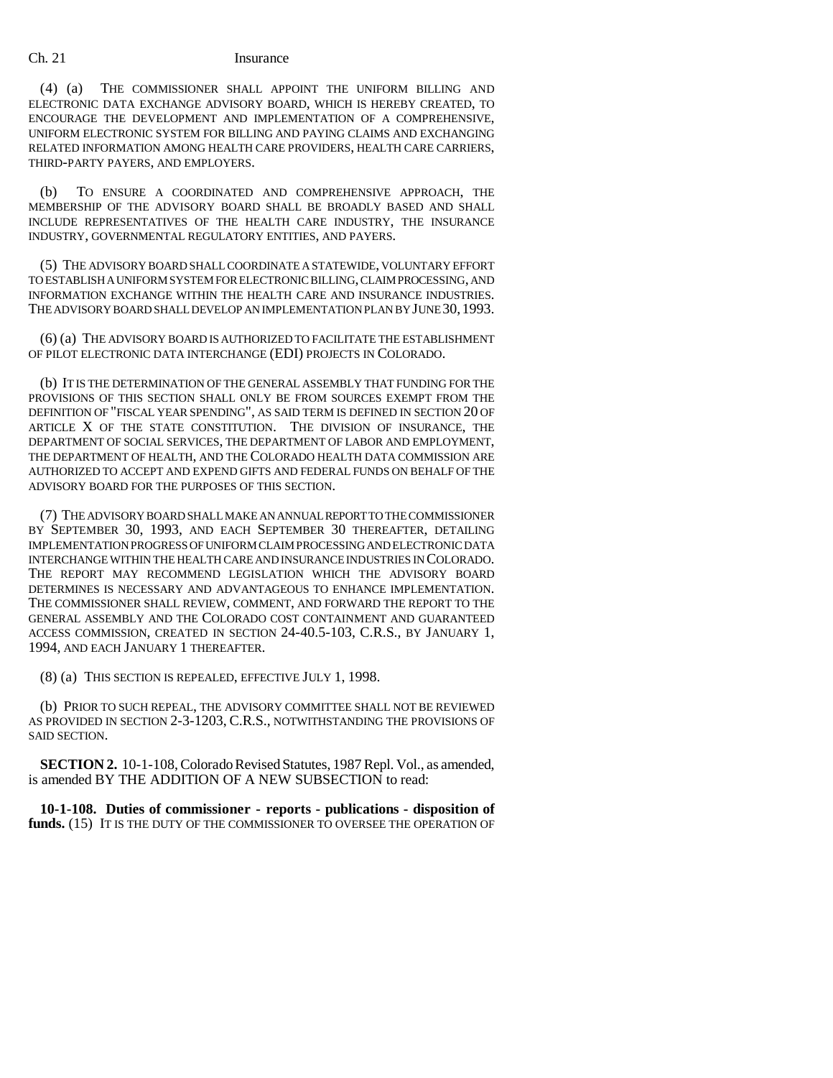## Ch. 21 Insurance

(4) (a) THE COMMISSIONER SHALL APPOINT THE UNIFORM BILLING AND ELECTRONIC DATA EXCHANGE ADVISORY BOARD, WHICH IS HEREBY CREATED, TO ENCOURAGE THE DEVELOPMENT AND IMPLEMENTATION OF A COMPREHENSIVE, UNIFORM ELECTRONIC SYSTEM FOR BILLING AND PAYING CLAIMS AND EXCHANGING RELATED INFORMATION AMONG HEALTH CARE PROVIDERS, HEALTH CARE CARRIERS, THIRD-PARTY PAYERS, AND EMPLOYERS.

(b) TO ENSURE A COORDINATED AND COMPREHENSIVE APPROACH, THE MEMBERSHIP OF THE ADVISORY BOARD SHALL BE BROADLY BASED AND SHALL INCLUDE REPRESENTATIVES OF THE HEALTH CARE INDUSTRY, THE INSURANCE INDUSTRY, GOVERNMENTAL REGULATORY ENTITIES, AND PAYERS.

(5) THE ADVISORY BOARD SHALL COORDINATE A STATEWIDE, VOLUNTARY EFFORT TO ESTABLISH A UNIFORM SYSTEM FOR ELECTRONIC BILLING, CLAIM PROCESSING, AND INFORMATION EXCHANGE WITHIN THE HEALTH CARE AND INSURANCE INDUSTRIES. THE ADVISORY BOARD SHALL DEVELOP AN IMPLEMENTATION PLAN BY JUNE 30,1993.

(6) (a) THE ADVISORY BOARD IS AUTHORIZED TO FACILITATE THE ESTABLISHMENT OF PILOT ELECTRONIC DATA INTERCHANGE (EDI) PROJECTS IN COLORADO.

(b) IT IS THE DETERMINATION OF THE GENERAL ASSEMBLY THAT FUNDING FOR THE PROVISIONS OF THIS SECTION SHALL ONLY BE FROM SOURCES EXEMPT FROM THE DEFINITION OF "FISCAL YEAR SPENDING", AS SAID TERM IS DEFINED IN SECTION 20 OF ARTICLE X OF THE STATE CONSTITUTION. THE DIVISION OF INSURANCE, THE DEPARTMENT OF SOCIAL SERVICES, THE DEPARTMENT OF LABOR AND EMPLOYMENT, THE DEPARTMENT OF HEALTH, AND THE COLORADO HEALTH DATA COMMISSION ARE AUTHORIZED TO ACCEPT AND EXPEND GIFTS AND FEDERAL FUNDS ON BEHALF OF THE ADVISORY BOARD FOR THE PURPOSES OF THIS SECTION.

(7) THE ADVISORY BOARD SHALL MAKE AN ANNUAL REPORT TO THE COMMISSIONER BY SEPTEMBER 30, 1993, AND EACH SEPTEMBER 30 THEREAFTER, DETAILING IMPLEMENTATION PROGRESS OF UNIFORM CLAIM PROCESSING AND ELECTRONIC DATA INTERCHANGE WITHIN THE HEALTH CARE AND INSURANCE INDUSTRIES IN COLORADO. THE REPORT MAY RECOMMEND LEGISLATION WHICH THE ADVISORY BOARD DETERMINES IS NECESSARY AND ADVANTAGEOUS TO ENHANCE IMPLEMENTATION. THE COMMISSIONER SHALL REVIEW, COMMENT, AND FORWARD THE REPORT TO THE GENERAL ASSEMBLY AND THE COLORADO COST CONTAINMENT AND GUARANTEED ACCESS COMMISSION, CREATED IN SECTION 24-40.5-103, C.R.S., BY JANUARY 1, 1994, AND EACH JANUARY 1 THEREAFTER.

(8) (a) THIS SECTION IS REPEALED, EFFECTIVE JULY 1, 1998.

(b) PRIOR TO SUCH REPEAL, THE ADVISORY COMMITTEE SHALL NOT BE REVIEWED AS PROVIDED IN SECTION 2-3-1203, C.R.S., NOTWITHSTANDING THE PROVISIONS OF SAID SECTION.

**SECTION 2.** 10-1-108, Colorado Revised Statutes, 1987 Repl. Vol., as amended, is amended BY THE ADDITION OF A NEW SUBSECTION to read:

**10-1-108. Duties of commissioner - reports - publications - disposition of** funds. (15) IT IS THE DUTY OF THE COMMISSIONER TO OVERSEE THE OPERATION OF